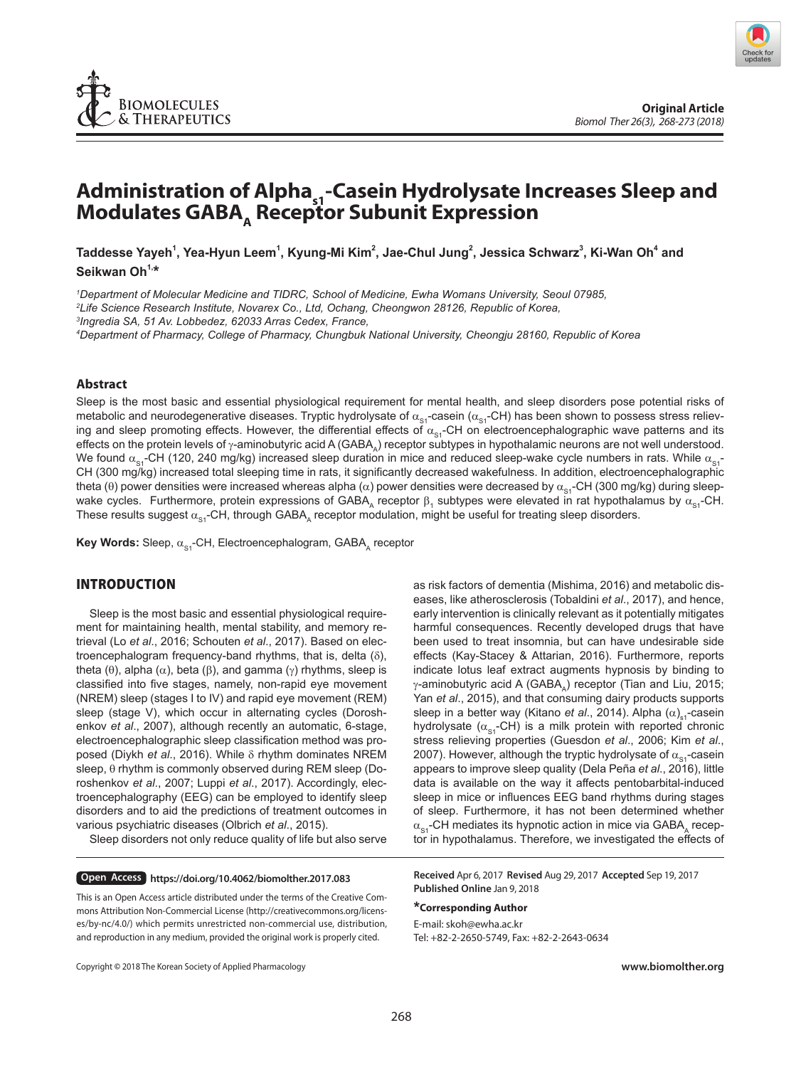

# Administration of Alpha<sub>s1</sub>-Casein Hydrolysate Increases Sleep and **Modulates GABA, Receptor Subunit Expression**

Taddesse Yayeh<sup>1</sup>, Yea-Hyun Leem<sup>1</sup>, Kyung-Mi Kim<sup>2</sup>, Jae-Chul Jung<sup>2</sup>, Jessica Schwarz<sup>3</sup>, Ki-Wan Oh<sup>4</sup> and **Seikwan Oh1,\***

*1 Department of Molecular Medicine and TIDRC, School of Medicine, Ewha Womans University, Seoul 07985, 2 Life Science Research Institute, Novarex Co., Ltd, Ochang, Cheongwon 28126, Republic of Korea, 3 Ingredia SA, 51 Av. Lobbedez, 62033 Arras Cedex, France,*

*4 Department of Pharmacy, College of Pharmacy, Chungbuk National University, Cheongju 28160, Republic of Korea*

#### **Abstract**

Sleep is the most basic and essential physiological requirement for mental health, and sleep disorders pose potential risks of metabolic and neurodegenerative diseases. Tryptic hydrolysate of  $\alpha_{\rm{st}}$ -casein ( $\alpha_{\rm{st}}$ -CH) has been shown to possess stress relieving and sleep promoting effects. However, the differential effects of  $\alpha_{s}$ -CH on electroencephalographic wave patterns and its effects on the protein levels of γ-aminobutyric acid A (GABA) receptor subtypes in hypothalamic neurons are not well understood. We found  $\alpha_{s1}$ -CH (120, 240 mg/kg) increased sleep duration in mice and reduced sleep-wake cycle numbers in rats. While  $\alpha_{s1}$ -CH (300 mg/kg) increased total sleeping time in rats, it significantly decreased wakefulness. In addition, electroencephalographic theta (θ) power densities were increased whereas alpha (α) power densities were decreased by  $\alpha_{\rm sc}$ -CH (300 mg/kg) during sleepwake cycles. Furthermore, protein expressions of GABA<sub>A</sub> receptor β<sub>1</sub> subtypes were elevated in rat hypothalamus by  $\alpha_{s_1}$ -CH. These results suggest  $\alpha_{s}$ -CH, through GABA<sub>A</sub> receptor modulation, might be useful for treating sleep disorders.

**Key Words:** Sleep, α<sub>s1</sub>-CH, Electroencephalogram, GABA<sub>A</sub> receptor

# INTRODUCTION

Sleep is the most basic and essential physiological requirement for maintaining health, mental stability, and memory retrieval (Lo *et al*., 2016; Schouten *et al*., 2017). Based on electroencephalogram frequency-band rhythms, that is, delta (δ), theta (θ), alpha ( $α$ ), beta (β), and gamma (γ) rhythms, sleep is classified into five stages, namely, non-rapid eye movement (NREM) sleep (stages I to IV) and rapid eye movement (REM) sleep (stage V), which occur in alternating cycles (Doroshenkov *et al*., 2007), although recently an automatic, 6-stage, electroencephalographic sleep classification method was proposed (Diykh *et al*., 2016). While δ rhythm dominates NREM sleep, θ rhythm is commonly observed during REM sleep (Doroshenkov *et al*., 2007; Luppi *et al*., 2017). Accordingly, electroencephalography (EEG) can be employed to identify sleep disorders and to aid the predictions of treatment outcomes in various psychiatric diseases (Olbrich *et al*., 2015).

Sleep disorders not only reduce quality of life but also serve

**Open Access https://doi.org/10.4062/biomolther.2017.083**

This is an Open Access article distributed under the terms of the Creative Commons Attribution Non-Commercial License (http://creativecommons.org/licenses/by-nc/4.0/) which permits unrestricted non-commercial use, distribution, and reproduction in any medium, provided the original work is properly cited.

as risk factors of dementia (Mishima, 2016) and metabolic diseases, like atherosclerosis (Tobaldini *et al*., 2017), and hence, early intervention is clinically relevant as it potentially mitigates harmful consequences. Recently developed drugs that have been used to treat insomnia, but can have undesirable side effects (Kay-Stacey & Attarian, 2016). Furthermore, reports indicate lotus leaf extract augments hypnosis by binding to  $\gamma$ -aminobutyric acid A (GABA) receptor (Tian and Liu, 2015; Yan *et al*., 2015), and that consuming dairy products supports sleep in a better way (Kitano *et al.*, 2014). Alpha (α)<sub>s1</sub>-casein hydrolysate ( $\alpha_{\rm{S1}}$ -CH) is a milk protein with reported chronic stress relieving properties (Guesdon *et al*., 2006; Kim *et al*., 2007). However, although the tryptic hydrolysate of  $\alpha_{\rm{S1}}$ -casein appears to improve sleep quality (Dela Peña *et al*., 2016), little data is available on the way it affects pentobarbital-induced sleep in mice or influences EEG band rhythms during stages of sleep. Furthermore, it has not been determined whether  $\alpha_{\rm{S1}}$ -CH mediates its hypnotic action in mice via GABA, receptor in hypothalamus. Therefore, we investigated the effects of

**Received** Apr 6, 2017 **Revised** Aug 29, 2017 **Accepted** Sep 19, 2017 **Published Online** Jan 9, 2018

#### **\*Corresponding Author**

E-mail: skoh@ewha.ac.kr Tel: +82-2-2650-5749, Fax: +82-2-2643-0634

Copyright **©** 2018 The Korean Society of Applied Pharmacology

**www.biomolther.org**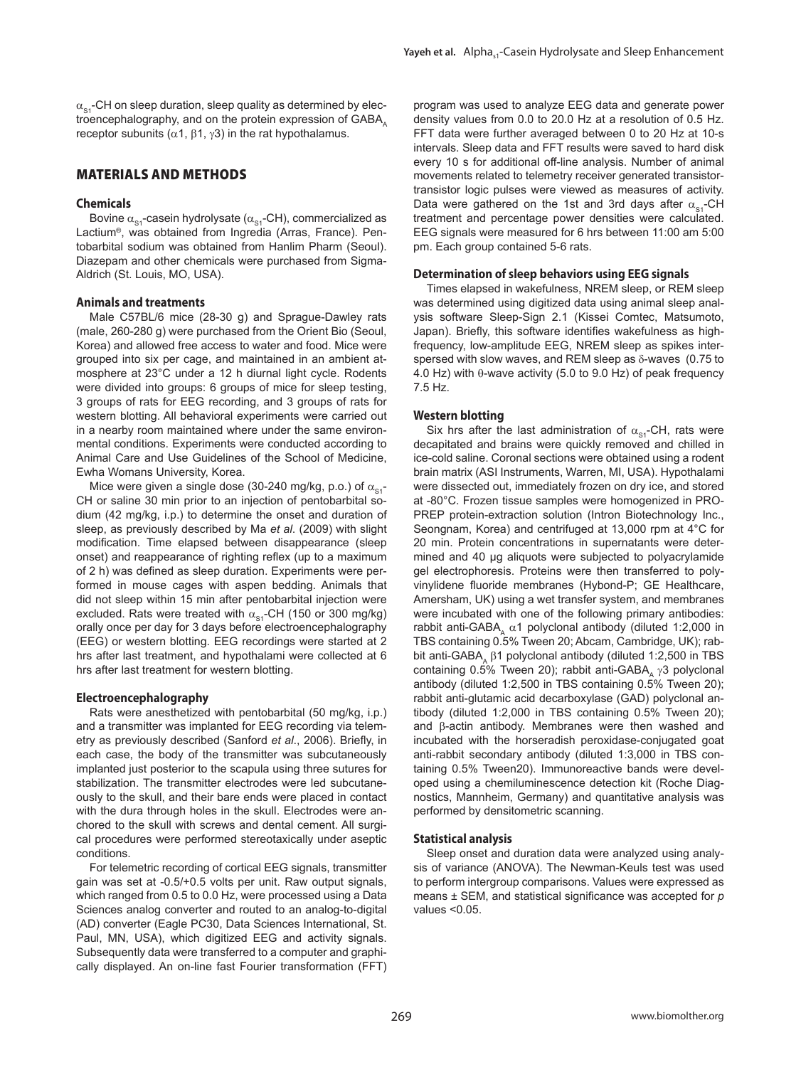$\alpha_{s}$ -CH on sleep duration, sleep quality as determined by electroencephalography, and on the protein expression of GABA receptor subunits ( $α1$ ,  $β1$ ,  $γ3$ ) in the rat hypothalamus.

## MATERIALS AND METHODS

#### **Chemicals**

Bovine  $\alpha_{\rm{S1}}$ -casein hydrolysate ( $\alpha_{\rm{S1}}$ -CH), commercialized as Lactium®, was obtained from Ingredia (Arras, France). Pentobarbital sodium was obtained from Hanlim Pharm (Seoul). Diazepam and other chemicals were purchased from Sigma-Aldrich (St. Louis, MO, USA).

#### **Animals and treatments**

Male C57BL/6 mice (28-30 g) and Sprague-Dawley rats (male, 260-280 g) were purchased from the Orient Bio (Seoul, Korea) and allowed free access to water and food. Mice were grouped into six per cage, and maintained in an ambient atmosphere at 23°C under a 12 h diurnal light cycle. Rodents were divided into groups: 6 groups of mice for sleep testing, 3 groups of rats for EEG recording, and 3 groups of rats for western blotting. All behavioral experiments were carried out in a nearby room maintained where under the same environmental conditions. Experiments were conducted according to Animal Care and Use Guidelines of the School of Medicine, Ewha Womans University, Korea.

Mice were given a single dose (30-240 mg/kg, p.o.) of  $\alpha_{\text{S1}}$ -CH or saline 30 min prior to an injection of pentobarbital sodium (42 mg/kg, i.p.) to determine the onset and duration of sleep, as previously described by Ma *et al*. (2009) with slight modification. Time elapsed between disappearance (sleep onset) and reappearance of righting reflex (up to a maximum of 2 h) was defined as sleep duration. Experiments were performed in mouse cages with aspen bedding. Animals that did not sleep within 15 min after pentobarbital injection were excluded. Rats were treated with  $\alpha_{s1}$ -CH (150 or 300 mg/kg) orally once per day for 3 days before electroencephalography (EEG) or western blotting. EEG recordings were started at 2 hrs after last treatment, and hypothalami were collected at 6 hrs after last treatment for western blotting.

#### **Electroencephalography**

Rats were anesthetized with pentobarbital (50 mg/kg, i.p.) and a transmitter was implanted for EEG recording via telemetry as previously described (Sanford *et al*., 2006). Briefly, in each case, the body of the transmitter was subcutaneously implanted just posterior to the scapula using three sutures for stabilization. The transmitter electrodes were led subcutaneously to the skull, and their bare ends were placed in contact with the dura through holes in the skull. Electrodes were anchored to the skull with screws and dental cement. All surgical procedures were performed stereotaxically under aseptic conditions.

For telemetric recording of cortical EEG signals, transmitter gain was set at -0.5/+0.5 volts per unit. Raw output signals, which ranged from 0.5 to 0.0 Hz, were processed using a Data Sciences analog converter and routed to an analog-to-digital (AD) converter (Eagle PC30, Data Sciences International, St. Paul, MN, USA), which digitized EEG and activity signals. Subsequently data were transferred to a computer and graphically displayed. An on-line fast Fourier transformation (FFT)

program was used to analyze EEG data and generate power density values from 0.0 to 20.0 Hz at a resolution of 0.5 Hz. FFT data were further averaged between 0 to 20 Hz at 10-s intervals. Sleep data and FFT results were saved to hard disk every 10 s for additional off-line analysis. Number of animal movements related to telemetry receiver generated transistortransistor logic pulses were viewed as measures of activity. Data were gathered on the 1st and 3rd days after  $\alpha_{s}$ -CH treatment and percentage power densities were calculated. EEG signals were measured for 6 hrs between 11:00 am 5:00 pm. Each group contained 5-6 rats.

#### **Determination of sleep behaviors using EEG signals**

Times elapsed in wakefulness, NREM sleep, or REM sleep was determined using digitized data using animal sleep analysis software Sleep-Sign 2.1 (Kissei Comtec, Matsumoto, Japan). Briefly, this software identifies wakefulness as highfrequency, low-amplitude EEG, NREM sleep as spikes interspersed with slow waves, and REM sleep as δ-waves (0.75 to 4.0 Hz) with θ-wave activity (5.0 to 9.0 Hz) of peak frequency 7.5 Hz.

#### **Western blotting**

Six hrs after the last administration of  $\alpha_{\rm{S1}}$ -CH, rats were decapitated and brains were quickly removed and chilled in ice-cold saline. Coronal sections were obtained using a rodent brain matrix (ASI Instruments, Warren, MI, USA). Hypothalami were dissected out, immediately frozen on dry ice, and stored at -80°C. Frozen tissue samples were homogenized in PRO-PREP protein-extraction solution (Intron Biotechnology Inc., Seongnam, Korea) and centrifuged at 13,000 rpm at 4°C for 20 min. Protein concentrations in supernatants were determined and 40 μg aliquots were subjected to polyacrylamide gel electrophoresis. Proteins were then transferred to polyvinylidene fluoride membranes (Hybond-P; GE Healthcare, Amersham, UK) using a wet transfer system, and membranes were incubated with one of the following primary antibodies: rabbit anti-GABA,  $\alpha$ 1 polyclonal antibody (diluted 1:2,000 in TBS containing 0.5% Tween 20; Abcam, Cambridge, UK); rabbit anti-GABA, β1 polyclonal antibody (diluted 1:2,500 in TBS containing 0.5% Tween 20); rabbit anti-GABA, γ3 polyclonal antibody (diluted 1:2,500 in TBS containing 0.5% Tween 20); rabbit anti-glutamic acid decarboxylase (GAD) polyclonal antibody (diluted 1:2,000 in TBS containing 0.5% Tween 20); and β-actin antibody. Membranes were then washed and incubated with the horseradish peroxidase-conjugated goat anti-rabbit secondary antibody (diluted 1:3,000 in TBS containing 0.5% Tween20). Immunoreactive bands were developed using a chemiluminescence detection kit (Roche Diagnostics, Mannheim, Germany) and quantitative analysis was performed by densitometric scanning.

#### **Statistical analysis**

Sleep onset and duration data were analyzed using analysis of variance (ANOVA). The Newman-Keuls test was used to perform intergroup comparisons. Values were expressed as means ± SEM, and statistical significance was accepted for *p* values <0.05.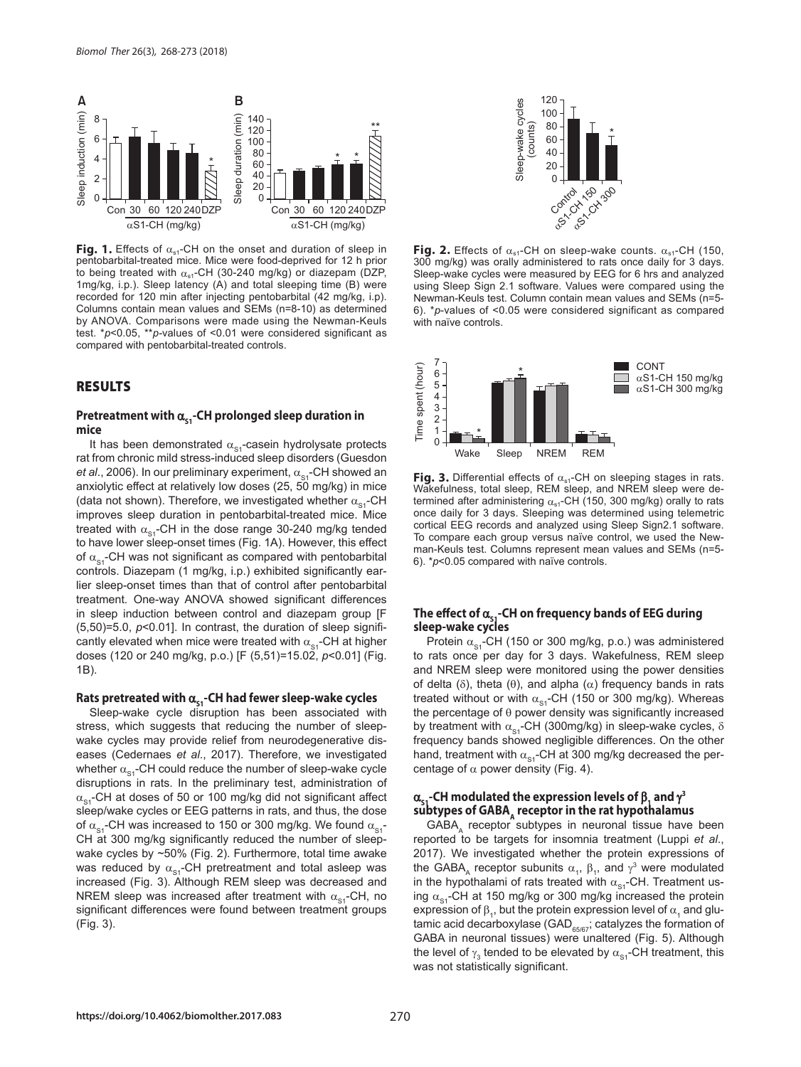

**Fig. 1.** Effects of α<sub>s1</sub>-CH on the onset and duration of sleep in pentobarbital-treated mice. Mice were food-deprived for 12 h prior to being treated with  $\alpha_{s1}$ -CH (30-240 mg/kg) or diazepam (DZP, 1mg/kg, i.p.). Sleep latency (A) and total sleeping time (B) were recorded for 120 min after injecting pentobarbital (42 mg/kg, i.p). Columns contain mean values and SEMs (n=8-10) as determined by ANOVA. Comparisons were made using the Newman-Keuls test. \**p*<0.05, \*\**p-*values of <0.01 were considered significant as compared with pentobarbital-treated controls.

#### RESULTS

#### Pretreatment with α<sub>s1</sub>-CH prolonged sleep duration in **mice**

It has been demonstrated  $\alpha_{s1}$ -casein hydrolysate protects rat from chronic mild stress-induced sleep disorders (Guesdon *et al.*, 2006). In our preliminary experiment,  $\alpha_{\text{eq}}$ -CH showed an anxiolytic effect at relatively low doses (25, 50 mg/kg) in mice (data not shown). Therefore, we investigated whether  $\alpha_{\rm sd}$ -CH improves sleep duration in pentobarbital-treated mice. Mice treated with  $\alpha_{\rm s1}$ -CH in the dose range 30-240 mg/kg tended to have lower sleep-onset times (Fig. 1A). However, this effect of  $\alpha_{\rm sd}$ -CH was not significant as compared with pentobarbital controls. Diazepam (1 mg/kg, i.p.) exhibited significantly earlier sleep-onset times than that of control after pentobarbital treatment. One-way ANOVA showed significant differences in sleep induction between control and diazepam group [F (5,50)=5.0, *p*<0.01]. In contrast, the duration of sleep significantly elevated when mice were treated with  $\alpha_{\rm{S1}}$ -CH at higher doses (120 or 240 mg/kg, p.o.) [F (5,51)=15.02, *p*<0.01] (Fig. 1B).

# Rats pretreated with α<sub>s1</sub>-CH had fewer sleep-wake cycles

Sleep-wake cycle disruption has been associated with stress, which suggests that reducing the number of sleepwake cycles may provide relief from neurodegenerative diseases (Cedernaes *et al*., 2017). Therefore, we investigated whether  $\alpha_{\rm{S1}}$ -CH could reduce the number of sleep-wake cycle disruptions in rats. In the preliminary test, administration of  $\alpha_{s}$ -CH at doses of 50 or 100 mg/kg did not significant affect sleep/wake cycles or EEG patterns in rats, and thus, the dose of  $\alpha_{\rm{S1}}$ -CH was increased to 150 or 300 mg/kg. We found  $\alpha_{\rm{S1}}$ -CH at 300 mg/kg significantly reduced the number of sleepwake cycles by ~50% (Fig. 2). Furthermore, total time awake was reduced by  $\alpha_{s1}$ -CH pretreatment and total asleep was increased (Fig. 3). Although REM sleep was decreased and NREM sleep was increased after treatment with  $\alpha_{\rm sd}$ -CH, no significant differences were found between treatment groups (Fig. 3).



**Fig. 2.** Effects of  $\alpha_{s1}$ -CH on sleep-wake counts.  $\alpha_{s1}$ -CH (150, 300 mg/kg) was orally administered to rats once daily for 3 days. Sleep-wake cycles were measured by EEG for 6 hrs and analyzed using Sleep Sign 2.1 software. Values were compared using the Newman-Keuls test. Column contain mean values and SEMs (n=5- 6). \**p*-values of <0.05 were considered significant as compared with naïve controls.



**Fig. 3.** Differential effects of α<sub>s1</sub>-CH on sleeping stages in rats. Wakefulness, total sleep, REM sleep, and NREM sleep were determined after administering  $\alpha_{s1}$ -CH (150, 300 mg/kg) orally to rats once daily for 3 days. Sleeping was determined using telemetric cortical EEG records and analyzed using Sleep Sign2.1 software. To compare each group versus naïve control, we used the Newman-Keuls test. Columns represent mean values and SEMs (n=5- 6). \**p*<0.05 compared with naïve controls.

# The effect of α<sub>ς</sub>,-CH on frequency bands of EEG during **sleep-wake cycles**

Protein  $\alpha_{s1}$ -CH (150 or 300 mg/kg, p.o.) was administered to rats once per day for 3 days. Wakefulness, REM sleep and NREM sleep were monitored using the power densities of delta ( $\delta$ ), theta ( $\theta$ ), and alpha ( $\alpha$ ) frequency bands in rats treated without or with  $\alpha_{\rm st}$ -CH (150 or 300 mg/kg). Whereas the percentage of  $\theta$  power density was significantly increased by treatment with  $\alpha_{s1}$ -CH (300mg/kg) in sleep-wake cycles,  $\delta$ frequency bands showed negligible differences. On the other hand, treatment with  $\alpha_{\rm{S1}}$ -CH at 300 mg/kg decreased the percentage of  $\alpha$  power density (Fig. 4).

#### $\alpha_{\mathsf{s}\mathsf{1}}$ -CH modulated the expression levels of  $\beta_{\mathsf{1}}$  and  $\gamma^3$ subtypes of GABA, receptor in the rat hypothalamus

GABA, receptor subtypes in neuronal tissue have been reported to be targets for insomnia treatment (Luppi *et al*., 2017). We investigated whether the protein expressions of the GABA<sub>A</sub> receptor subunits  $\alpha_1$ ,  $\beta_1$ , and  $\gamma^3$  were modulated in the hypothalami of rats treated with  $\alpha_{s_1}$ -CH. Treatment using  $\alpha_{\rm s1}$ -CH at 150 mg/kg or 300 mg/kg increased the protein expression of  $\beta_1$ , but the protein expression level of  $\alpha_1$  and glutamic acid decarboxylase (GAD $_{65/67}$ ; catalyzes the formation of GABA in neuronal tissues) were unaltered (Fig. 5). Although the level of  $\gamma_3$  tended to be elevated by  $\alpha_{s_1}$ -CH treatment, this was not statistically significant.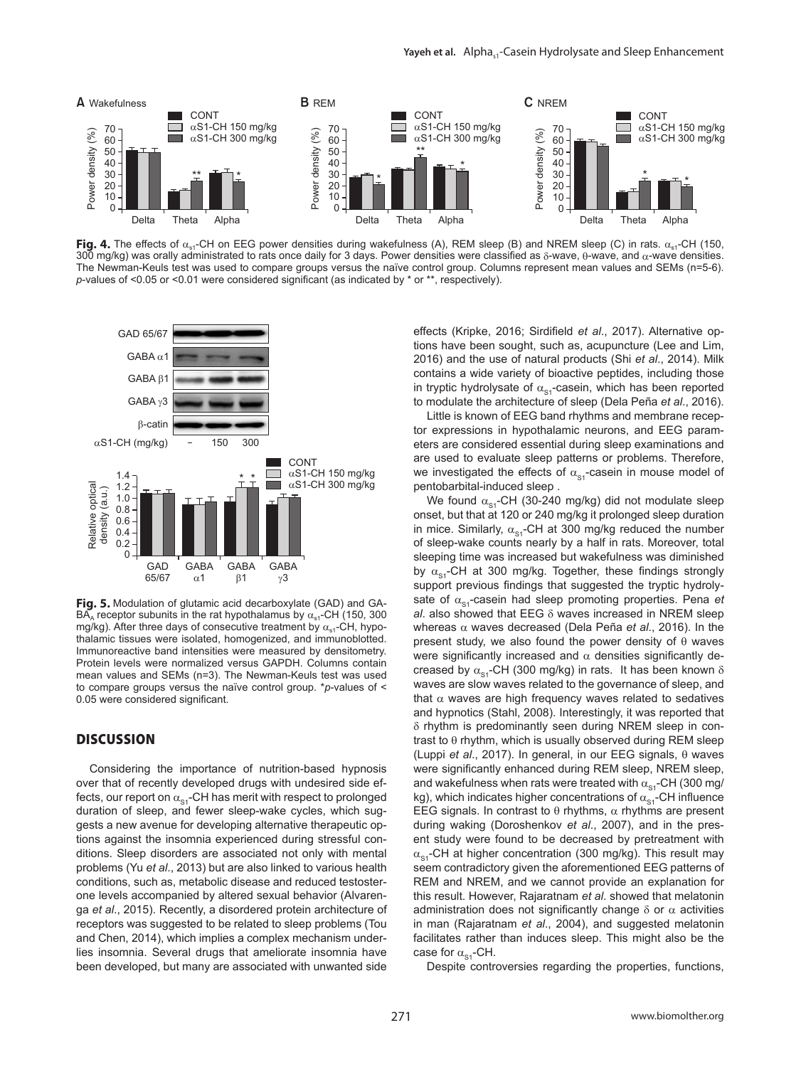

**Fig. 4.** The effects of α<sub>s1</sub>-CH on EEG power densities during wakefulness (A), REM sleep (B) and NREM sleep (C) in rats. α<sub>s1</sub>-CH (150, 300 mg/kg) was orally administrated to rats once daily for 3 days. Power densities were classified as δ-wave, θ-wave, and α-wave densities. The Newman-Keuls test was used to compare groups versus the naïve control group. Columns represent mean values and SEMs (n=5-6). *p*-values of <0.05 or <0.01 were considered significant (as indicated by \* or \*\*, respectively).



**Fig. 5.** Modulation of glutamic acid decarboxylate (GAD) and GA- $\overline{BA}_A$  receptor subunits in the rat hypothalamus by  $\alpha_{s1}$ -CH (150, 300 mg/kg). After three days of consecutive treatment by  $\alpha_{s1}$ -CH, hypothalamic tissues were isolated, homogenized, and immunoblotted. Immunoreactive band intensities were measured by densitometry. Protein levels were normalized versus GAPDH. Columns contain mean values and SEMs (n=3). The Newman-Keuls test was used to compare groups versus the naïve control group. \**p*-values of < 0.05 were considered significant.

# **DISCUSSION**

Considering the importance of nutrition-based hypnosis over that of recently developed drugs with undesired side effects, our report on  $\alpha_{\rm{S1}}$ -CH has merit with respect to prolonged duration of sleep, and fewer sleep-wake cycles, which suggests a new avenue for developing alternative therapeutic options against the insomnia experienced during stressful conditions. Sleep disorders are associated not only with mental problems (Yu *et al*., 2013) but are also linked to various health conditions, such as, metabolic disease and reduced testosterone levels accompanied by altered sexual behavior (Alvarenga *et al*., 2015). Recently, a disordered protein architecture of receptors was suggested to be related to sleep problems (Tou and Chen, 2014), which implies a complex mechanism underlies insomnia. Several drugs that ameliorate insomnia have been developed, but many are associated with unwanted side

effects (Kripke, 2016; Sirdifield *et al*., 2017). Alternative options have been sought, such as, acupuncture (Lee and Lim, 2016) and the use of natural products (Shi *et al*., 2014). Milk contains a wide variety of bioactive peptides, including those in tryptic hydrolysate of  $\alpha_{\rm st}$ -casein, which has been reported to modulate the architecture of sleep (Dela Peña *et al*., 2016).

Little is known of EEG band rhythms and membrane receptor expressions in hypothalamic neurons, and EEG parameters are considered essential during sleep examinations and are used to evaluate sleep patterns or problems. Therefore, we investigated the effects of  $\alpha_{\rm{S1}}$ -casein in mouse model of pentobarbital-induced sleep .

We found  $\alpha_{s1}$ -CH (30-240 mg/kg) did not modulate sleep onset, but that at 120 or 240 mg/kg it prolonged sleep duration in mice. Similarly,  $\alpha_{\rm{S1}}$ -CH at 300 mg/kg reduced the number of sleep-wake counts nearly by a half in rats. Moreover, total sleeping time was increased but wakefulness was diminished by  $\alpha_{\rm ss}$ -CH at 300 mg/kg. Together, these findings strongly support previous findings that suggested the tryptic hydrolysate of  $\alpha_{s}$ -casein had sleep promoting properties. Pena *et al*. also showed that EEG δ waves increased in NREM sleep whereas α waves decreased (Dela Peña *et al*., 2016). In the present study, we also found the power density of  $\theta$  waves were significantly increased and  $\alpha$  densities significantly decreased by  $\alpha_{s1}$ -CH (300 mg/kg) in rats. It has been known  $\delta$ waves are slow waves related to the governance of sleep, and that  $\alpha$  waves are high frequency waves related to sedatives and hypnotics (Stahl, 2008). Interestingly, it was reported that δ rhythm is predominantly seen during NREM sleep in contrast to θ rhythm, which is usually observed during REM sleep (Luppi *et al*., 2017). In general, in our EEG signals, θ waves were significantly enhanced during REM sleep, NREM sleep, and wakefulness when rats were treated with  $\alpha_{\rm{S1}}$ -CH (300 mg/ kg), which indicates higher concentrations of  $\alpha_{\rm{S1}}$ -CH influence EEG signals. In contrast to  $\theta$  rhythms,  $\alpha$  rhythms are present during waking (Doroshenkov *et al*., 2007), and in the present study were found to be decreased by pretreatment with  $\alpha_{\rm{st}}$ -CH at higher concentration (300 mg/kg). This result may seem contradictory given the aforementioned EEG patterns of REM and NREM, and we cannot provide an explanation for this result. However, Rajaratnam *et al*. showed that melatonin administration does not significantly change  $\delta$  or  $\alpha$  activities in man (Rajaratnam *et al*., 2004), and suggested melatonin facilitates rather than induces sleep. This might also be the case for  $\alpha_{\rm cl}$ -CH.

Despite controversies regarding the properties, functions,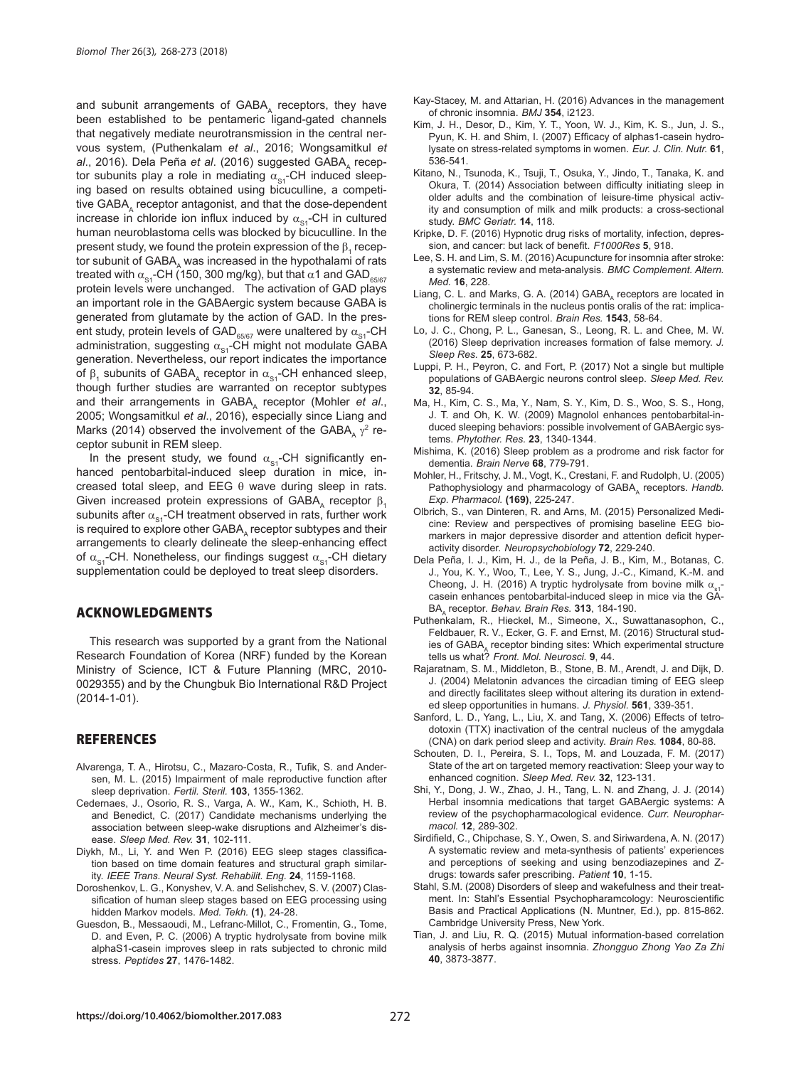and subunit arrangements of GABA, receptors, they have been established to be pentameric ligand-gated channels that negatively mediate neurotransmission in the central nervous system, (Puthenkalam *et al*., 2016; Wongsamitkul *et al.*, 2016). Dela Peña et al. (2016) suggested GABA, receptor subunits play a role in mediating  $\alpha_{\rm s1}$ -CH induced sleeping based on results obtained using bicuculline, a competitive GABA, receptor antagonist, and that the dose-dependent increase in chloride ion influx induced by  $\alpha_{\rm sd}$ -CH in cultured human neuroblastoma cells was blocked by bicuculline. In the present study, we found the protein expression of the  $\boldsymbol{\beta}_1$  receptor subunit of GABA, was increased in the hypothalami of rats treated with  $\alpha_{s1}$ -CH (150, 300 mg/kg), but that  $\alpha$ 1 and GAD<sub>65/67</sub> protein levels were unchanged. The activation of GAD plays an important role in the GABAergic system because GABA is generated from glutamate by the action of GAD. In the present study, protein levels of GAD<sub>65/67</sub> were unaltered by  $\alpha_{\rm{S1}}$ -CH administration, suggesting  $\alpha_{s1}$ -CH might not modulate GABA generation. Nevertheless, our report indicates the importance of  $β_1$  subunits of GABA<sub>A</sub> receptor in  $α_{s1}$ -CH enhanced sleep, though further studies are warranted on receptor subtypes and their arrangements in GABA, receptor (Mohler et al., 2005; Wongsamitkul *et al*., 2016), especially since Liang and Marks (2014) observed the involvement of the GABA<sub>A</sub>  $\gamma^2$  receptor subunit in REM sleep.

In the present study, we found  $\alpha_{s1}$ -CH significantly enhanced pentobarbital-induced sleep duration in mice, increased total sleep, and EEG  $θ$  wave during sleep in rats. Given increased protein expressions of GABA, receptor  $\beta_1$ subunits after  $\alpha_{s1}$ -CH treatment observed in rats, further work is required to explore other GABA, receptor subtypes and their arrangements to clearly delineate the sleep-enhancing effect of  $\alpha_{\rm sc}$ -CH. Nonetheless, our findings suggest  $\alpha_{\rm sc}$ -CH dietary supplementation could be deployed to treat sleep disorders.

# ACKNOWLEDGMENTS

This research was supported by a grant from the National Research Foundation of Korea (NRF) funded by the Korean Ministry of Science, ICT & Future Planning (MRC, 2010- 0029355) and by the Chungbuk Bio International R&D Project (2014-1-01).

#### **REFERENCES**

- Alvarenga, T. A., Hirotsu, C., Mazaro-Costa, R., Tufik, S. and Andersen, M. L. (2015) Impairment of male reproductive function after sleep deprivation. *Fertil. Steril.* **103**, 1355-1362.
- Cedernaes, J., Osorio, R. S., Varga, A. W., Kam, K., Schioth, H. B. and Benedict, C. (2017) Candidate mechanisms underlying the association between sleep-wake disruptions and Alzheimer's disease. *Sleep Med. Rev.* **31**, 102-111.
- Diykh, M., Li, Y. and Wen P. (2016) EEG sleep stages classification based on time domain features and structural graph similarity. *IEEE Trans. Neural Syst. Rehabilit. Eng.* **24**, 1159-1168.
- Doroshenkov, L. G., Konyshev, V. A. and Selishchev, S. V. (2007) Classification of human sleep stages based on EEG processing using hidden Markov models. *Med. Tekh.* **(1)**, 24-28.
- Guesdon, B., Messaoudi, M., Lefranc-Millot, C., Fromentin, G., Tome, D. and Even, P. C. (2006) A tryptic hydrolysate from bovine milk alphaS1-casein improves sleep in rats subjected to chronic mild stress. *Peptides* **27**, 1476-1482.
- Kay-Stacey, M. and Attarian, H. (2016) Advances in the management of chronic insomnia. *BMJ* **354**, i2123.
- Kim, J. H., Desor, D., Kim, Y. T., Yoon, W. J., Kim, K. S., Jun, J. S., Pyun, K. H. and Shim, I. (2007) Efficacy of alphas1-casein hydrolysate on stress-related symptoms in women. *Eur. J. Clin. Nutr.* **61**, 536-541.
- Kitano, N., Tsunoda, K., Tsuji, T., Osuka, Y., Jindo, T., Tanaka, K. and Okura, T. (2014) Association between difficulty initiating sleep in older adults and the combination of leisure-time physical activity and consumption of milk and milk products: a cross-sectional study. *BMC Geriatr.* **14**, 118.
- Kripke, D. F. (2016) Hypnotic drug risks of mortality, infection, depression, and cancer: but lack of benefit. *F1000Res* **5**, 918.
- Lee, S. H. and Lim, S. M. (2016) Acupuncture for insomnia after stroke: a systematic review and meta-analysis. *BMC Complement. Altern. Med.* **16**, 228.
- Liang, C. L. and Marks, G. A. (2014) GABA, receptors are located in cholinergic terminals in the nucleus pontis oralis of the rat: implications for REM sleep control. *Brain Res.* **1543**, 58-64.
- Lo, J. C., Chong, P. L., Ganesan, S., Leong, R. L. and Chee, M. W. (2016) Sleep deprivation increases formation of false memory. *J. Sleep Res.* **25**, 673-682.
- Luppi, P. H., Peyron, C. and Fort, P. (2017) Not a single but multiple populations of GABAergic neurons control sleep. *Sleep Med. Rev.*  **32**, 85-94.
- Ma, H., Kim, C. S., Ma, Y., Nam, S. Y., Kim, D. S., Woo, S. S., Hong, J. T. and Oh, K. W. (2009) Magnolol enhances pentobarbital-induced sleeping behaviors: possible involvement of GABAergic systems. *Phytother. Res.* **23**, 1340-1344.
- Mishima, K. (2016) Sleep problem as a prodrome and risk factor for dementia. *Brain Nerve* **68**, 779-791.
- Mohler, H., Fritschy, J. M., Vogt, K., Crestani, F. and Rudolph, U. (2005) Pathophysiology and pharmacology of GABA, receptors. *Handb. Exp. Pharmacol.* **(169)**, 225-247.
- Olbrich, S., van Dinteren, R. and Arns, M. (2015) Personalized Medicine: Review and perspectives of promising baseline EEG biomarkers in major depressive disorder and attention deficit hyperactivity disorder. *Neuropsychobiology* **72**, 229-240.
- Dela Peña, I. J., Kim, H. J., de la Peña, J. B., Kim, M., Botanas, C. J., You, K. Y., Woo, T., Lee, Y. S., Jung, J.-C., Kimand, K.-M. and Cheong, J. H. (2016) A tryptic hydrolysate from bovine milk  $\alpha$ casein enhances pentobarbital-induced sleep in mice via the GA-BAA receptor. *Behav. Brain Res.* **313**, 184-190.
- Puthenkalam, R., Hieckel, M., Simeone, X., Suwattanasophon, C., Feldbauer, R. V., Ecker, G. F. and Ernst, M. (2016) Structural studies of  $GABA_A$  receptor binding sites: Which experimental structure tells us what? *Front. Mol. Neurosci.* **9**, 44.
- Rajaratnam, S. M., Middleton, B., Stone, B. M., Arendt, J. and Dijk, D. J. (2004) Melatonin advances the circadian timing of EEG sleep and directly facilitates sleep without altering its duration in extended sleep opportunities in humans. *J. Physiol.* **561**, 339-351.
- Sanford, L. D., Yang, L., Liu, X. and Tang, X. (2006) Effects of tetrodotoxin (TTX) inactivation of the central nucleus of the amygdala (CNA) on dark period sleep and activity. *Brain Res.* **1084**, 80-88.
- Schouten, D. I., Pereira, S. I., Tops, M. and Louzada, F. M. (2017) State of the art on targeted memory reactivation: Sleep your way to enhanced cognition. *Sleep Med. Rev.* **32**, 123-131.
- Shi, Y., Dong, J. W., Zhao, J. H., Tang, L. N. and Zhang, J. J. (2014) Herbal insomnia medications that target GABAergic systems: A review of the psychopharmacological evidence. *Curr. Neuropharmacol.* **12**, 289-302.
- Sirdifield, C., Chipchase, S. Y., Owen, S. and Siriwardena, A. N. (2017) A systematic review and meta-synthesis of patients' experiences and perceptions of seeking and using benzodiazepines and Zdrugs: towards safer prescribing. *Patient* **10**, 1-15.
- Stahl, S.M. (2008) Disorders of sleep and wakefulness and their treatment. In: Stahl's Essential Psychopharamcology: Neuroscientific Basis and Practical Applications (N. Muntner, Ed.), pp. 815-862. Cambridge University Press, New York.
- Tian, J. and Liu, R. Q. (2015) Mutual information-based correlation analysis of herbs against insomnia. *Zhongguo Zhong Yao Za Zhi*  **40**, 3873-3877.